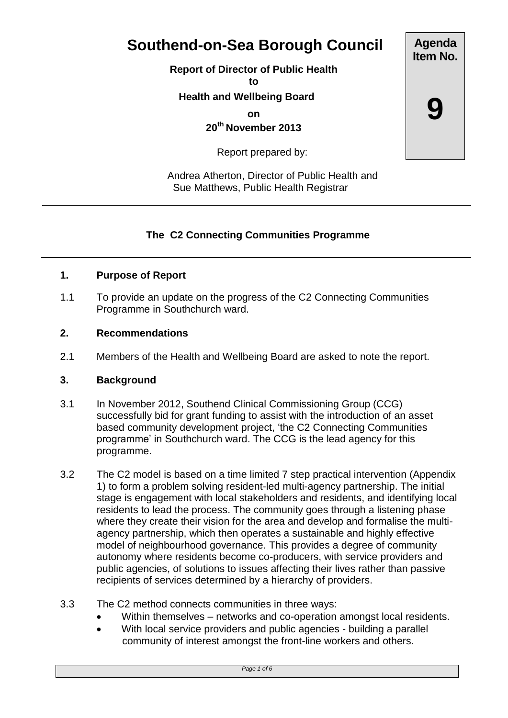# **Southend-on-Sea Borough Council**

**Report of Director of Public Health**

**to**

 **Health and Wellbeing Board**

**on**

**20th November 2013**

Report prepared by:

 Andrea Atherton, Director of Public Health and Sue Matthews, Public Health Registrar

# **The C2 Connecting Communities Programme**

## **1. Purpose of Report**

1.1 To provide an update on the progress of the C2 Connecting Communities Programme in Southchurch ward.

### **2. Recommendations**

2.1 Members of the Health and Wellbeing Board are asked to note the report.

### **3. Background**

- 3.1 In November 2012, Southend Clinical Commissioning Group (CCG) successfully bid for grant funding to assist with the introduction of an asset based community development project, 'the C2 Connecting Communities programme' in Southchurch ward. The CCG is the lead agency for this programme.
- 3.2 The C2 model is based on a time limited 7 step practical intervention (Appendix 1) to form a problem solving resident-led multi-agency partnership. The initial stage is engagement with local stakeholders and residents, and identifying local residents to lead the process. The community goes through a listening phase where they create their vision for the area and develop and formalise the multiagency partnership, which then operates a sustainable and highly effective model of neighbourhood governance. This provides a degree of community autonomy where residents become co-producers, with service providers and public agencies, of solutions to issues affecting their lives rather than passive recipients of services determined by a hierarchy of providers.
- 3.3 The C2 method connects communities in three ways:
	- Within themselves networks and co-operation amongst local residents.
	- With local service providers and public agencies building a parallel community of interest amongst the front-line workers and others.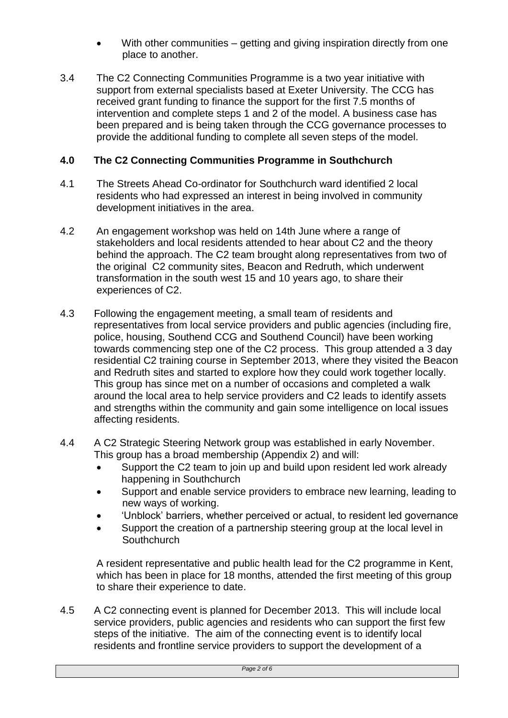- With other communities getting and giving inspiration directly from one place to another.
- 3.4 The C2 Connecting Communities Programme is a two year initiative with support from external specialists based at Exeter University. The CCG has received grant funding to finance the support for the first 7.5 months of intervention and complete steps 1 and 2 of the model. A business case has been prepared and is being taken through the CCG governance processes to provide the additional funding to complete all seven steps of the model.

# **4.0 The C2 Connecting Communities Programme in Southchurch**

- 4.1 The Streets Ahead Co-ordinator for Southchurch ward identified 2 local residents who had expressed an interest in being involved in community development initiatives in the area.
- 4.2 An engagement workshop was held on 14th June where a range of stakeholders and local residents attended to hear about C2 and the theory behind the approach. The C2 team brought along representatives from two of the original C2 community sites, Beacon and Redruth, which underwent transformation in the south west 15 and 10 years ago, to share their experiences of C2.
- 4.3 Following the engagement meeting, a small team of residents and representatives from local service providers and public agencies (including fire, police, housing, Southend CCG and Southend Council) have been working towards commencing step one of the C2 process. This group attended a 3 day residential C2 training course in September 2013, where they visited the Beacon and Redruth sites and started to explore how they could work together locally. This group has since met on a number of occasions and completed a walk around the local area to help service providers and C2 leads to identify assets and strengths within the community and gain some intelligence on local issues affecting residents.
- 4.4 A C2 Strategic Steering Network group was established in early November. This group has a broad membership (Appendix 2) and will:
	- Support the C2 team to join up and build upon resident led work already happening in Southchurch
	- Support and enable service providers to embrace new learning, leading to new ways of working.
	- 'Unblock' barriers, whether perceived or actual, to resident led governance
	- Support the creation of a partnership steering group at the local level in **Southchurch**

A resident representative and public health lead for the C2 programme in Kent, which has been in place for 18 months, attended the first meeting of this group to share their experience to date.

4.5 A C2 connecting event is planned for December 2013. This will include local service providers, public agencies and residents who can support the first few steps of the initiative. The aim of the connecting event is to identify local residents and frontline service providers to support the development of a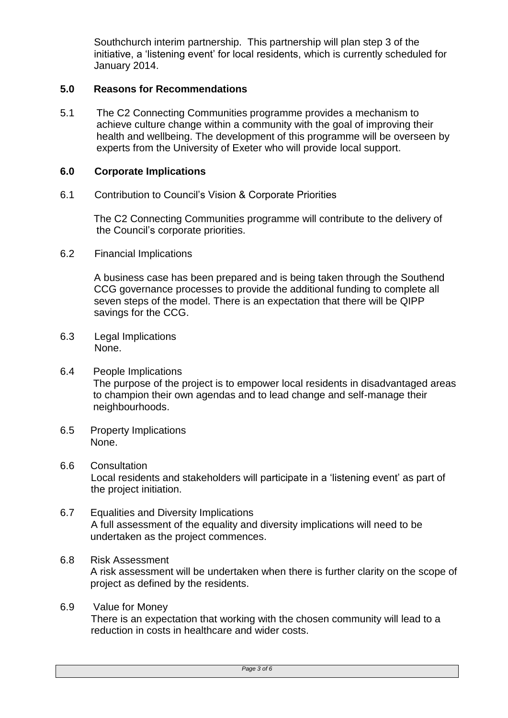Southchurch interim partnership. This partnership will plan step 3 of the initiative, a 'listening event' for local residents, which is currently scheduled for January 2014.

### **5.0 Reasons for Recommendations**

5.1 The C2 Connecting Communities programme provides a mechanism to achieve culture change within a community with the goal of improving their health and wellbeing. The development of this programme will be overseen by experts from the University of Exeter who will provide local support.

### **6.0 Corporate Implications**

6.1 Contribution to Council's Vision & Corporate Priorities

The C2 Connecting Communities programme will contribute to the delivery of the Council's corporate priorities.

6.2 Financial Implications

A business case has been prepared and is being taken through the Southend CCG governance processes to provide the additional funding to complete all seven steps of the model. There is an expectation that there will be QIPP savings for the CCG.

- 6.3 Legal Implications None.
- 6.4 People Implications The purpose of the project is to empower local residents in disadvantaged areas to champion their own agendas and to lead change and self-manage their neighbourhoods.
- 6.5 Property Implications None.
- 6.6 Consultation Local residents and stakeholders will participate in a 'listening event' as part of the project initiation.
- 6.7 Equalities and Diversity Implications A full assessment of the equality and diversity implications will need to be undertaken as the project commences.

## 6.8 Risk Assessment A risk assessment will be undertaken when there is further clarity on the scope of project as defined by the residents.

6.9 Value for Money There is an expectation that working with the chosen community will lead to a reduction in costs in healthcare and wider costs.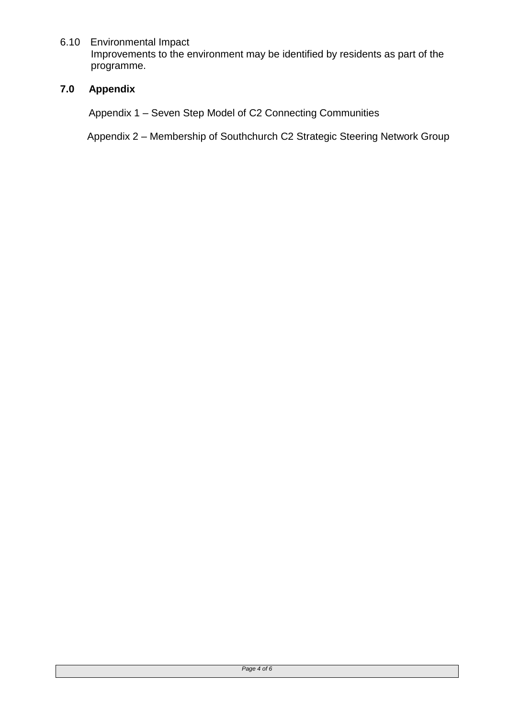### 6.10 Environmental Impact

Improvements to the environment may be identified by residents as part of the programme.

## **7.0 Appendix**

Appendix 1 – Seven Step Model of C2 Connecting Communities

Appendix 2 – Membership of Southchurch C2 Strategic Steering Network Group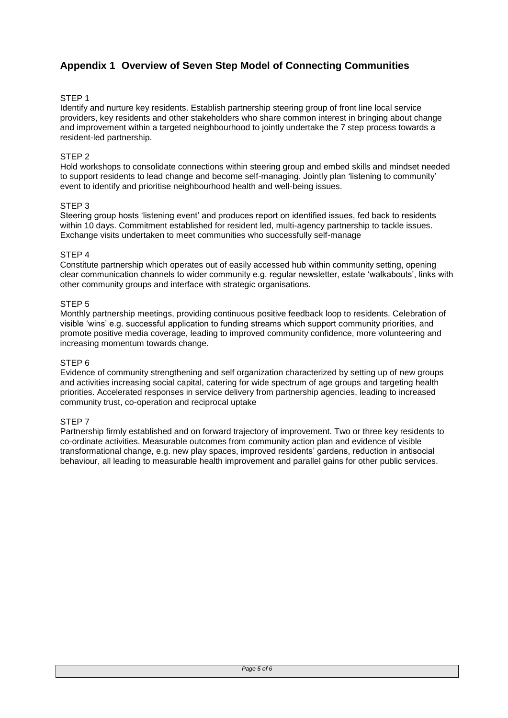# **Appendix 1 Overview of Seven Step Model of Connecting Communities**

#### STEP 1

Identify and nurture key residents. Establish partnership steering group of front line local service providers, key residents and other stakeholders who share common interest in bringing about change and improvement within a targeted neighbourhood to jointly undertake the 7 step process towards a resident-led partnership.

#### STEP 2

Hold workshops to consolidate connections within steering group and embed skills and mindset needed to support residents to lead change and become self-managing. Jointly plan 'listening to community' event to identify and prioritise neighbourhood health and well-being issues.

#### STEP 3

Steering group hosts 'listening event' and produces report on identified issues, fed back to residents within 10 days. Commitment established for resident led, multi-agency partnership to tackle issues. Exchange visits undertaken to meet communities who successfully self-manage

#### STEP 4

Constitute partnership which operates out of easily accessed hub within community setting, opening clear communication channels to wider community e.g. regular newsletter, estate 'walkabouts', links with other community groups and interface with strategic organisations.

#### STEP 5

Monthly partnership meetings, providing continuous positive feedback loop to residents. Celebration of visible 'wins' e.g. successful application to funding streams which support community priorities, and promote positive media coverage, leading to improved community confidence, more volunteering and increasing momentum towards change.

#### STEP 6

Evidence of community strengthening and self organization characterized by setting up of new groups and activities increasing social capital, catering for wide spectrum of age groups and targeting health priorities. Accelerated responses in service delivery from partnership agencies, leading to increased community trust, co-operation and reciprocal uptake

#### STEP 7

Partnership firmly established and on forward trajectory of improvement. Two or three key residents to co-ordinate activities. Measurable outcomes from community action plan and evidence of visible transformational change, e.g. new play spaces, improved residents' gardens, reduction in antisocial behaviour, all leading to measurable health improvement and parallel gains for other public services.